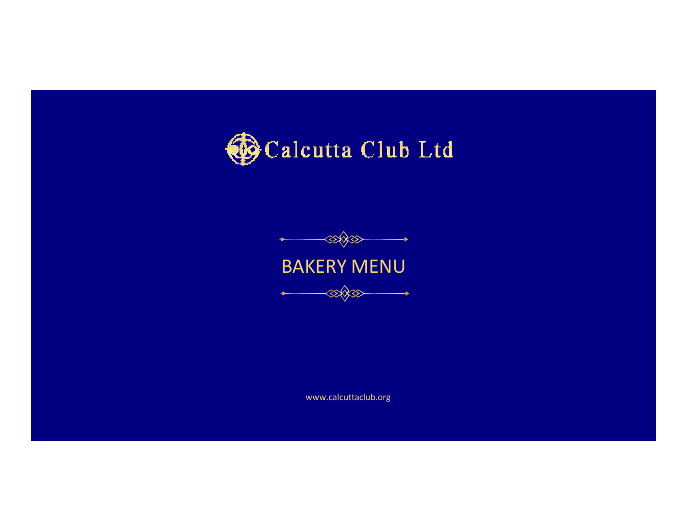



www.calcuttaclub.org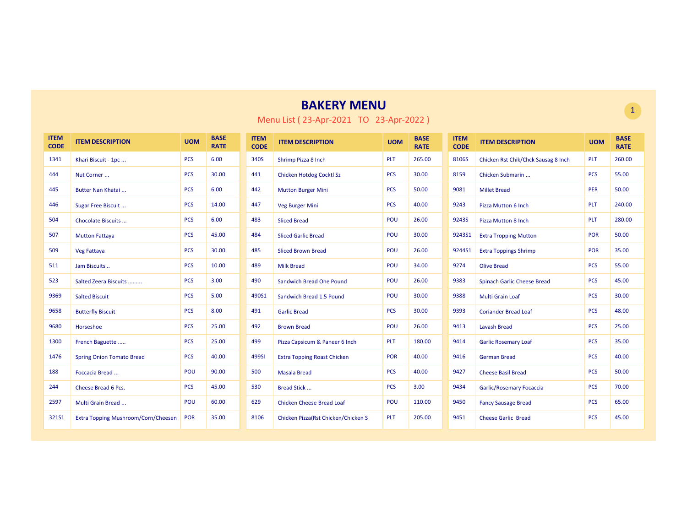| <b>ITEM</b><br><b>CODE</b> | <b>ITEM DESCRIPTION</b>             | <b>UOM</b> | <b>BASE</b><br><b>RATE</b> | <b>ITEM</b><br><b>CODE</b> | <b>ITEM DESCRIPTION</b>             | <b>UOM</b> | <b>BASE</b><br><b>RATE</b> | <b>ITEM</b><br><b>CODE</b> | <b>ITEM DESCRIPTION</b>             | <b>UOM</b> | <b>BASE</b><br><b>RATE</b> |
|----------------------------|-------------------------------------|------------|----------------------------|----------------------------|-------------------------------------|------------|----------------------------|----------------------------|-------------------------------------|------------|----------------------------|
| 1341                       | Khari Biscuit - 1pc                 | <b>PCS</b> | 6.00                       | 340S                       | Shrimp Pizza 8 Inch                 | <b>PLT</b> | 265.00                     | 8106S                      | Chicken Rst Chik/Chck Sausag 8 Inch | <b>PLT</b> | 260.00                     |
| 444                        | Nut Corner                          | <b>PCS</b> | 30.00                      | 441                        | Chicken Hotdog Cocktl Sz            | <b>PCS</b> | 30.00                      | 8159                       | Chicken Submarin                    | <b>PCS</b> | 55.00                      |
| 445                        | Butter Nan Khatai                   | <b>PCS</b> | 6.00                       | 442                        | <b>Mutton Burger Mini</b>           | <b>PCS</b> | 50.00                      | 9081                       | <b>Millet Bread</b>                 | PER        | 50.00                      |
| 446                        | Sugar Free Biscuit                  | <b>PCS</b> | 14.00                      | 447                        | Veg Burger Mini                     | <b>PCS</b> | 40.00                      | 9243                       | Pizza Mutton 6 Inch                 | <b>PLT</b> | 240.00                     |
| 504                        | Chocolate Biscuits                  | <b>PCS</b> | 6.00                       | 483                        | <b>Sliced Bread</b>                 | POU        | 26.00                      | 9243S                      | <b>Pizza Mutton 8 Inch</b>          | <b>PLT</b> | 280.00                     |
| 507                        | <b>Mutton Fattaya</b>               | <b>PCS</b> | 45.00                      | 484                        | <b>Sliced Garlic Bread</b>          | POU        | 30.00                      | 9243S1                     | <b>Extra Tropping Mutton</b>        | <b>POR</b> | 50.00                      |
| 509                        | Veg Fattaya                         | <b>PCS</b> | 30.00                      | 485                        | <b>Sliced Brown Bread</b>           | POU        | 26.00                      | 9244S1                     | <b>Extra Toppings Shrimp</b>        | <b>POR</b> | 35.00                      |
| 511                        | Jam Biscuits                        | <b>PCS</b> | 10.00                      | 489                        | <b>Milk Bread</b>                   | POU        | 34.00                      | 9274                       | <b>Olive Bread</b>                  | <b>PCS</b> | 55.00                      |
| 523                        | Salted Zeera Biscuits               | <b>PCS</b> | 3.00                       | 490                        | <b>Sandwich Bread One Pound</b>     | POU        | 26.00                      | 9383                       | Spinach Garlic Cheese Bread         | <b>PCS</b> | 45.00                      |
| 9369                       | <b>Salted Biscuit</b>               | <b>PCS</b> | 5.00                       | 490S1                      | Sandwich Bread 1.5 Pound            | POU        | 30.00                      | 9388                       | <b>Multi Grain Loaf</b>             | <b>PCS</b> | 30.00                      |
| 9658                       | <b>Butterfly Biscuit</b>            | <b>PCS</b> | 8.00                       | 491                        | <b>Garlic Bread</b>                 | <b>PCS</b> | 30.00                      | 9393                       | <b>Coriander Bread Loaf</b>         | <b>PCS</b> | 48.00                      |
| 9680                       | Horseshoe                           | <b>PCS</b> | 25.00                      | 492                        | <b>Brown Bread</b>                  | POU        | 26.00                      | 9413                       | <b>Lavash Bread</b>                 | <b>PCS</b> | 25.00                      |
| 1300                       | French Baguette                     | <b>PCS</b> | 25.00                      | 499                        | Pizza Capsicum & Paneer 6 Inch      | <b>PLT</b> | 180.00                     | 9414                       | <b>Garlic Rosemary Loaf</b>         | <b>PCS</b> | 35.00                      |
| 1476                       | <b>Spring Onion Tomato Bread</b>    | <b>PCS</b> | 40.00                      | 499SI                      | <b>Extra Topping Roast Chicken</b>  | <b>POR</b> | 40.00                      | 9416                       | <b>German Bread</b>                 | <b>PCS</b> | 40.00                      |
| 188                        | Foccacia Bread                      | POU        | 90.00                      | 500                        | <b>Masala Bread</b>                 | <b>PCS</b> | 40.00                      | 9427                       | <b>Cheese Basil Bread</b>           | <b>PCS</b> | 50.00                      |
| 244                        | Cheese Bread 6 Pcs.                 | <b>PCS</b> | 45.00                      | 530                        | <b>Bread Stick</b>                  | <b>PCS</b> | 3.00                       | 9434                       | <b>Garlic/Rosemary Focaccia</b>     | <b>PCS</b> | 70.00                      |
| 2597                       | Multi Grain Bread                   | POU        | 60.00                      | 629                        | <b>Chicken Cheese Bread Loaf</b>    | POU        | 110.00                     | 9450                       | <b>Fancy Sausage Bread</b>          | <b>PCS</b> | 65.00                      |
| 321S1                      | Extra Topping Mushroom/Corn/Cheesen | POR        | 35.00                      | 8106                       | Chicken Pizza(Rst Chicken/Chicken S | <b>PLT</b> | 205.00                     | 9451                       | <b>Cheese Garlic Bread</b>          | <b>PCS</b> | 45.00                      |

Menu List ( 23-Apr-2021 TO 23-Apr-2022 )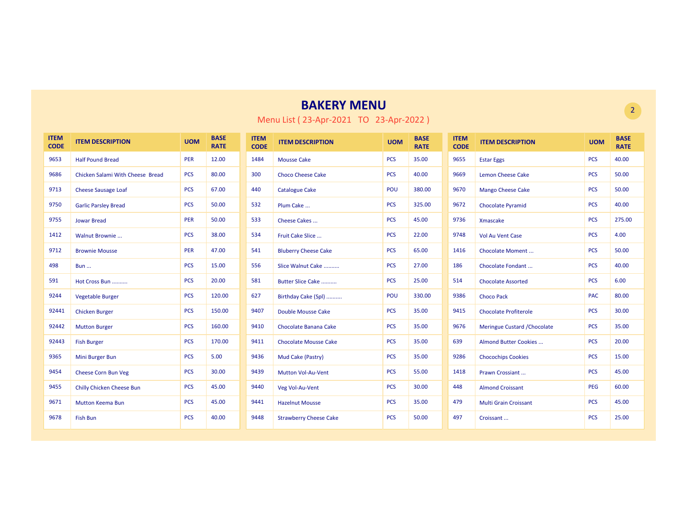| <b>ITEM</b><br><b>CODE</b> | <b>ITEM DESCRIPTION</b>          | <b>UOM</b> | <b>BASE</b><br><b>RATE</b> | <b>ITEM</b><br><b>CODE</b> | <b>ITEM DESCRIPTION</b>       | <b>UOM</b> | <b>BASE</b><br><b>RATE</b> | <b>ITEM</b><br><b>CODE</b> | <b>ITEM DESCRIPTION</b>      | <b>UOM</b> | <b>BASE</b><br><b>RATE</b> |
|----------------------------|----------------------------------|------------|----------------------------|----------------------------|-------------------------------|------------|----------------------------|----------------------------|------------------------------|------------|----------------------------|
| 9653                       | <b>Half Pound Bread</b>          | <b>PER</b> | 12.00                      | 1484                       | <b>Mousse Cake</b>            | <b>PCS</b> | 35.00                      | 9655                       | <b>Estar Eggs</b>            | <b>PCS</b> | 40.00                      |
| 9686                       | Chicken Salami With Cheese Bread | <b>PCS</b> | 80.00                      | 300                        | <b>Choco Cheese Cake</b>      | <b>PCS</b> | 40.00                      | 9669                       | <b>Lemon Cheese Cake</b>     | <b>PCS</b> | 50.00                      |
| 9713                       | <b>Cheese Sausage Loaf</b>       | <b>PCS</b> | 67.00                      | 440                        | <b>Catalogue Cake</b>         | POU        | 380.00                     | 9670                       | <b>Mango Cheese Cake</b>     | <b>PCS</b> | 50.00                      |
| 9750                       | <b>Garlic Parsley Bread</b>      | <b>PCS</b> | 50.00                      | 532                        | Plum Cake                     | <b>PCS</b> | 325.00                     | 9672                       | <b>Chocolate Pyramid</b>     | <b>PCS</b> | 40.00                      |
| 9755                       | <b>Jowar Bread</b>               | <b>PER</b> | 50.00                      | 533                        | Cheese Cakes                  | <b>PCS</b> | 45.00                      | 9736                       | Xmascake                     | <b>PCS</b> | 275.00                     |
| 1412                       | Walnut Brownie                   | <b>PCS</b> | 38.00                      | 534                        | Fruit Cake Slice              | <b>PCS</b> | 22.00                      | 9748                       | <b>Vol Au Vent Case</b>      | <b>PCS</b> | 4.00                       |
| 9712                       | <b>Brownie Mousse</b>            | <b>PER</b> | 47.00                      | 541                        | <b>Bluberry Cheese Cake</b>   | <b>PCS</b> | 65.00                      | 1416                       | <b>Chocolate Moment</b>      | <b>PCS</b> | 50.00                      |
| 498                        | <b>Bun</b>                       | <b>PCS</b> | 15.00                      | 556                        | Slice Walnut Cake             | <b>PCS</b> | 27.00                      | 186                        | Chocolate Fondant            | <b>PCS</b> | 40.00                      |
| 591                        | Hot Cross Bun                    | <b>PCS</b> | 20.00                      | 581                        | Butter Slice Cake             | <b>PCS</b> | 25.00                      | 514                        | <b>Chocolate Assorted</b>    | <b>PCS</b> | 6.00                       |
| 9244                       | <b>Vegetable Burger</b>          | <b>PCS</b> | 120.00                     | 627                        | Birthday Cake (Spl)           | POU        | 330.00                     | 9386                       | <b>Choco Pack</b>            | <b>PAC</b> | 80.00                      |
| 92441                      | <b>Chicken Burger</b>            | <b>PCS</b> | 150.00                     | 9407                       | <b>Double Mousse Cake</b>     | <b>PCS</b> | 35.00                      | 9415                       | <b>Chocolate Profiterole</b> | <b>PCS</b> | 30.00                      |
| 92442                      | <b>Mutton Burger</b>             | <b>PCS</b> | 160.00                     | 9410                       | Chocolate Banana Cake         | <b>PCS</b> | 35.00                      | 9676                       | Meringue Custard / Chocolate | <b>PCS</b> | 35.00                      |
| 92443                      | <b>Fish Burger</b>               | <b>PCS</b> | 170.00                     | 9411                       | <b>Chocolate Mousse Cake</b>  | <b>PCS</b> | 35.00                      | 639                        | Almond Butter Cookies        | <b>PCS</b> | 20.00                      |
| 9365                       | Mini Burger Bun                  | <b>PCS</b> | 5.00                       | 9436                       | Mud Cake (Pastry)             | <b>PCS</b> | 35.00                      | 9286                       | <b>Chocochips Cookies</b>    | <b>PCS</b> | 15.00                      |
| 9454                       | Cheese Corn Bun Veg              | <b>PCS</b> | 30.00                      | 9439                       | <b>Mutton Vol-Au-Vent</b>     | <b>PCS</b> | 55.00                      | 1418                       | Prawn Crossiant              | <b>PCS</b> | 45.00                      |
| 9455                       | <b>Chilly Chicken Cheese Bun</b> | <b>PCS</b> | 45.00                      | 9440                       | Veg Vol-Au-Vent               | <b>PCS</b> | 30.00                      | 448                        | <b>Almond Croissant</b>      | <b>PEG</b> | 60.00                      |
| 9671                       | <b>Mutton Keema Bun</b>          | <b>PCS</b> | 45.00                      | 9441                       | <b>Hazelnut Mousse</b>        | <b>PCS</b> | 35.00                      | 479                        | <b>Multi Grain Croissant</b> | <b>PCS</b> | 45.00                      |
| 9678                       | <b>Fish Bun</b>                  | <b>PCS</b> | 40.00                      | 9448                       | <b>Strawberry Cheese Cake</b> | <b>PCS</b> | 50.00                      | 497                        | Croissant                    | <b>PCS</b> | 25.00                      |

Menu List ( 23-Apr-2021 TO 23-Apr-2022 )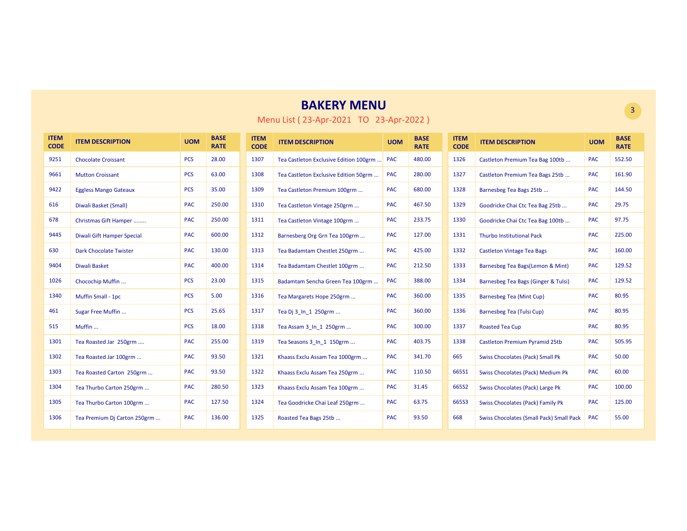| <b>ITEM</b><br><b>CODE</b> | <b>ITEM DESCRIPTION</b>       | <b>UOM</b> | <b>BASE</b><br><b>RATE</b> | <b>ITEM</b><br><b>CODE</b> | <b>ITEM DESCRIPTION</b>                | <b>UOM</b> | <b>BASE</b><br><b>RATE</b> | <b>ITEM</b><br><b>CODE</b> | <b>ITEM DESCRIPTION</b>                         | <b>UOM</b> | <b>BASE</b><br><b>RATE</b> |
|----------------------------|-------------------------------|------------|----------------------------|----------------------------|----------------------------------------|------------|----------------------------|----------------------------|-------------------------------------------------|------------|----------------------------|
| 9251                       | <b>Chocolate Croissant</b>    | <b>PCS</b> | 28.00                      | 1307                       | Tea Castleton Exclusive Edition 100grm | <b>PAC</b> | 480.00                     | 1326                       | Castleton Premium Tea Bag 100tb                 | <b>PAC</b> | 552.50                     |
| 9661                       | <b>Mutton Croissant</b>       | <b>PCS</b> | 63.00                      | 1308                       | Tea Castleton Exclusive Edition 50grm  | <b>PAC</b> | 280.00                     | 1327                       | Castleton Premium Tea Bags 25tb                 | <b>PAC</b> | 161.90                     |
| 9422                       | <b>Eggless Mango Gateaux</b>  | <b>PCS</b> | 35.00                      | 1309                       | Tea Castleton Premium 100grm           | <b>PAC</b> | 680.00                     | 1328                       | Barnesbeg Tea Bags 25tb                         | <b>PAC</b> | 144.50                     |
| 616                        | Diwali Basket (Small)         | PAC        | 250.00                     | 1310                       | Tea Castleton Vintage 250grm           | <b>PAC</b> | 467.50                     | 1329                       | Goodricke Chai Ctc Tea Bag 25tb                 | <b>PAC</b> | 29.75                      |
| 678                        | Christmas Gift Hamper         | PAC        | 250.00                     | 1311                       | Tea Castleton Vintage 100grm           | <b>PAC</b> | 233.75                     | 1330                       | Goodricke Chai Ctc Tea Bag 100tb                | <b>PAC</b> | 97.75                      |
| 9445                       | Diwali Gift Hamper Special    | <b>PAC</b> | 600.00                     | 1312                       | Barnesberg Org Grn Tea 100grm          | <b>PAC</b> | 127.00                     | 1331                       | <b>Thurbo Institutional Pack</b>                | <b>PAC</b> | 225.00                     |
| 630                        | <b>Dark Chocolate Twister</b> | <b>PAC</b> | 130.00                     | 1313                       | Tea Badamtam Chestlet 250grm           | <b>PAC</b> | 425.00                     | 1332                       | <b>Castleton Vintage Tea Bags</b>               | <b>PAC</b> | 160.00                     |
| 9404                       | Diwali Basket                 | <b>PAC</b> | 400.00                     | 1314                       | Tea Badamtam Chestlet 100grm           | <b>PAC</b> | 212.50                     | 1333                       | Barnesbeg Tea Bags(Lemon & Mint)                | <b>PAC</b> | 129.52                     |
| 1026                       | Chocochip Muffin              | <b>PCS</b> | 23.00                      | 1315                       | Badamtam Sencha Green Tea 100grm       | <b>PAC</b> | 388.00                     | 1334                       | Barnesbeg Tea Bags (Ginger & Tulsi)             | <b>PAC</b> | 129.52                     |
| 1340                       | Muffin Small - 1pc            | <b>PCS</b> | 5.00                       | 1316                       | Tea Margarets Hope 250grm              | <b>PAC</b> | 360.00                     | 1335                       | <b>Barnesbeg Tea (Mint Cup)</b>                 | <b>PAC</b> | 80.95                      |
| 461                        | Sugar Free Muffin             | <b>PCS</b> | 25.65                      | 1317                       | Tea Dj 3 In 1 250grm                   | <b>PAC</b> | 360.00                     | 1336                       | Barnesbeg Tea (Tulsi Cup)                       | <b>PAC</b> | 80.95                      |
| 515                        | Muffin                        | <b>PCS</b> | 18.00                      | 1318                       | Tea Assam 3 In 1 250grm                | <b>PAC</b> | 300.00                     | 1337                       | <b>Roasted Tea Cup</b>                          | <b>PAC</b> | 80.95                      |
| 1301                       | Tea Roasted Jar 250grm        | PAC        | 255.00                     | 1319                       | Tea Seasons 3 In 1 150grm              | <b>PAC</b> | 403.75                     | 1338                       | Castleton Premium Pyramid 25tb                  | <b>PAC</b> | 505.95                     |
| 1302                       | Tea Roasted Jar 100grm        | PAC        | 93.50                      | 1321                       | Khaass Exclu Assam Tea 1000grm         | <b>PAC</b> | 341.70                     | 665                        | <b>Swiss Chocolates (Pack) Small Pk</b>         | <b>PAC</b> | 50.00                      |
| 1303                       | Tea Roasted Carton 250grm     | <b>PAC</b> | 93.50                      | 1322                       | Khaass Exclu Assam Tea 250grm          | <b>PAC</b> | 110.50                     | 665S1                      | Swiss Chocolates (Pack) Medium Pk               | <b>PAC</b> | 60.00                      |
| 1304                       | Tea Thurbo Carton 250grm      | <b>PAC</b> | 280.50                     | 1323                       | Khaass Exclu Assam Tea 100grm          | <b>PAC</b> | 31.45                      | 665S2                      | Swiss Chocolates (Pack) Large Pk                | <b>PAC</b> | 100.00                     |
| 1305                       | Tea Thurbo Carton 100grm      | <b>PAC</b> | 127.50                     | 1324                       | Tea Goodricke Chai Leaf 250grm         | <b>PAC</b> | 63.75                      | 665S3                      | Swiss Chocolates (Pack) Family Pk               | <b>PAC</b> | 125.00                     |
| 1306                       | Tea Premium Dj Carton 250grm  | <b>PAC</b> | 136.00                     | 1325                       | Roasted Tea Bags 25tb                  | <b>PAC</b> | 93.50                      | 668                        | <b>Swiss Chocolates (Small Pack) Small Pack</b> | <b>PAC</b> | 55.00                      |

#### Menu List ( 23-Apr-2021 TO 23-Apr-2022 )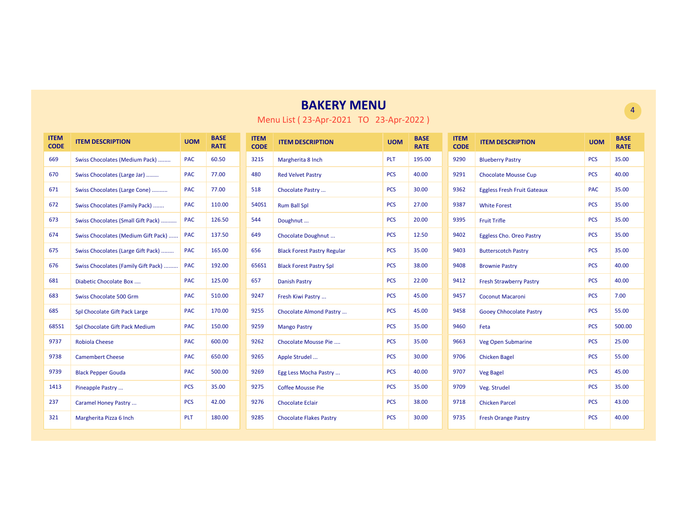| <b>ITEM</b><br><b>CODE</b> | <b>ITEM DESCRIPTION</b>             | <b>UOM</b> | <b>BASE</b><br><b>RATE</b> | <b>ITEM</b><br><b>CODE</b> | <b>ITEM DESCRIPTION</b>            | <b>UOM</b> | <b>BASE</b><br><b>RATE</b> | <b>ITEM</b><br><b>CODE</b> | <b>ITEM DESCRIPTION</b>            | <b>UOM</b> | <b>BASE</b><br><b>RATE</b> |
|----------------------------|-------------------------------------|------------|----------------------------|----------------------------|------------------------------------|------------|----------------------------|----------------------------|------------------------------------|------------|----------------------------|
| 669                        | Swiss Chocolates (Medium Pack)      | <b>PAC</b> | 60.50                      | 321S                       | Margherita 8 Inch                  | <b>PLT</b> | 195.00                     | 9290                       | <b>Blueberry Pastry</b>            | <b>PCS</b> | 35.00                      |
| 670                        | Swiss Chocolates (Large Jar)        | <b>PAC</b> | 77.00                      | 480                        | <b>Red Velvet Pastry</b>           | <b>PCS</b> | 40.00                      | 9291                       | <b>Chocolate Mousse Cup</b>        | <b>PCS</b> | 40.00                      |
| 671                        | Swiss Chocolates (Large Cone)       | <b>PAC</b> | 77.00                      | 518                        | Chocolate Pastry                   | <b>PCS</b> | 30.00                      | 9362                       | <b>Eggless Fresh Fruit Gateaux</b> | <b>PAC</b> | 35.00                      |
| 672                        | Swiss Chocolates (Family Pack)      | <b>PAC</b> | 110.00                     | 540S1                      | <b>Rum Ball Spl</b>                | <b>PCS</b> | 27.00                      | 9387                       | <b>White Forest</b>                | <b>PCS</b> | 35.00                      |
| 673                        | Swiss Chocolates (Small Gift Pack)  | <b>PAC</b> | 126.50                     | 544                        | Doughnut                           | <b>PCS</b> | 20.00                      | 9395                       | <b>Fruit Trifle</b>                | <b>PCS</b> | 35.00                      |
| 674                        | Swiss Chocolates (Medium Gift Pack) | <b>PAC</b> | 137.50                     | 649                        | Chocolate Doughnut                 | <b>PCS</b> | 12.50                      | 9402                       | Eggless Cho. Oreo Pastry           | <b>PCS</b> | 35.00                      |
| 675                        | Swiss Chocolates (Large Gift Pack)  | <b>PAC</b> | 165.00                     | 656                        | <b>Black Forest Pastry Regular</b> | <b>PCS</b> | 35.00                      | 9403                       | <b>Butterscotch Pastry</b>         | <b>PCS</b> | 35.00                      |
| 676                        | Swiss Chocolates (Family Gift Pack) | <b>PAC</b> | 192.00                     | 656S1                      | <b>Black Forest Pastry Spl</b>     | <b>PCS</b> | 38.00                      | 9408                       | <b>Brownie Pastry</b>              | <b>PCS</b> | 40.00                      |
| 681                        | Diabetic Chocolate Box              | <b>PAC</b> | 125.00                     | 657                        | <b>Danish Pastry</b>               | <b>PCS</b> | 22.00                      | 9412                       | <b>Fresh Strawberry Pastry</b>     | <b>PCS</b> | 40.00                      |
| 683                        | Swiss Chocolate 500 Grm             | <b>PAC</b> | 510.00                     | 9247                       | Fresh Kiwi Pastry                  | <b>PCS</b> | 45.00                      | 9457                       | <b>Coconut Macaroni</b>            | <b>PCS</b> | 7.00                       |
| 685                        | Spl Chocolate Gift Pack Large       | <b>PAC</b> | 170.00                     | 9255                       | Chocolate Almond Pastry            | <b>PCS</b> | 45.00                      | 9458                       | <b>Gooey Chhocolate Pastry</b>     | <b>PCS</b> | 55.00                      |
| 685S1                      | Spl Chocolate Gift Pack Medium      | <b>PAC</b> | 150.00                     | 9259                       | <b>Mango Pastry</b>                | <b>PCS</b> | 35.00                      | 9460                       | Feta                               | <b>PCS</b> | 500.00                     |
| 9737                       | <b>Robiola Cheese</b>               | <b>PAC</b> | 600.00                     | 9262                       | Chocolate Mousse Pie               | <b>PCS</b> | 35.00                      | 9663                       | Veg Open Submarine                 | <b>PCS</b> | 25.00                      |
| 9738                       | <b>Camembert Cheese</b>             | <b>PAC</b> | 650.00                     | 9265                       | Apple Strudel                      | <b>PCS</b> | 30.00                      | 9706                       | <b>Chicken Bagel</b>               | <b>PCS</b> | 55.00                      |
| 9739                       | <b>Black Pepper Gouda</b>           | <b>PAC</b> | 500.00                     | 9269                       | Egg Less Mocha Pastry              | <b>PCS</b> | 40.00                      | 9707                       | <b>Veg Bagel</b>                   | <b>PCS</b> | 45.00                      |
| 1413                       | Pineapple Pastry                    | <b>PCS</b> | 35.00                      | 9275                       | <b>Coffee Mousse Pie</b>           | <b>PCS</b> | 35.00                      | 9709                       | Veg. Strudel                       | <b>PCS</b> | 35.00                      |
| 237                        | Caramel Honey Pastry                | <b>PCS</b> | 42.00                      | 9276                       | <b>Chocolate Eclair</b>            | <b>PCS</b> | 38.00                      | 9718                       | <b>Chicken Parcel</b>              | <b>PCS</b> | 43.00                      |
| 321                        | Margherita Pizza 6 Inch             | PLT        | 180.00                     | 9285                       | <b>Chocolate Flakes Pastry</b>     | <b>PCS</b> | 30.00                      | 9735                       | <b>Fresh Orange Pastry</b>         | <b>PCS</b> | 40.00                      |

Menu List ( 23-Apr-2021 TO 23-Apr-2022 )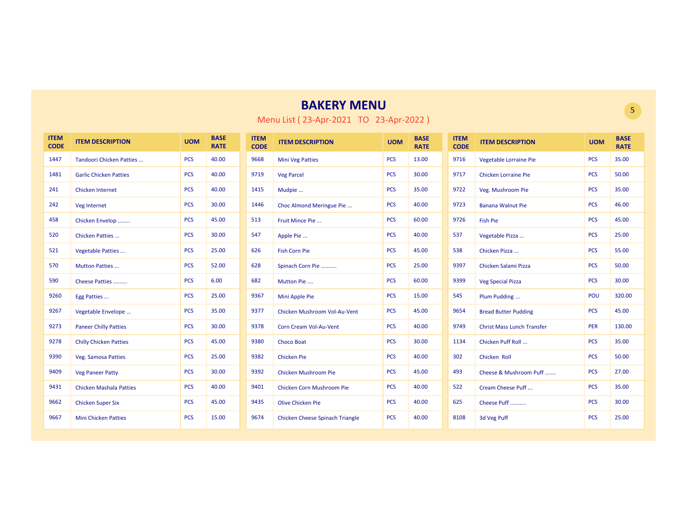| <b>ITEM</b><br><b>CODE</b> | <b>ITEM DESCRIPTION</b>        | <b>UOM</b> | <b>BASE</b><br><b>RATE</b> | <b>ITEM</b><br><b>CODE</b> | <b>ITEM DESCRIPTION</b>         | <b>UOM</b> | <b>BASE</b><br><b>RATE</b> | <b>ITEM</b><br><b>CODE</b> | <b>ITEM DESCRIPTION</b>           | <b>UOM</b> | <b>BASE</b><br><b>RATE</b> |
|----------------------------|--------------------------------|------------|----------------------------|----------------------------|---------------------------------|------------|----------------------------|----------------------------|-----------------------------------|------------|----------------------------|
| 1447                       | Tandoori Chicken Patties       | <b>PCS</b> | 40.00                      | 9668                       | <b>Mini Veg Patties</b>         | <b>PCS</b> | 13.00                      | 9716                       | Vegetable Lorraine Pie            | <b>PCS</b> | 35.00                      |
| 1481                       | <b>Garlic Chicken Patties</b>  | <b>PCS</b> | 40.00                      | 9719                       | <b>Veg Parcel</b>               | <b>PCS</b> | 30.00                      | 9717                       | <b>Chicken Lorraine Pie</b>       | <b>PCS</b> | 50.00                      |
| 241                        | <b>Chicken Internet</b>        | <b>PCS</b> | 40.00                      | 1415                       | Mudpie                          | <b>PCS</b> | 35.00                      | 9722                       | Veg. Mushroom Pie                 | <b>PCS</b> | 35.00                      |
| 242                        | Veg Internet                   | <b>PCS</b> | 30.00                      | 1446                       | Choc Almond Meringue Pie        | <b>PCS</b> | 40.00                      | 9723                       | <b>Banana Walnut Pie</b>          | <b>PCS</b> | 46.00                      |
| 458                        | Chicken Envelop                | <b>PCS</b> | 45.00                      | 513                        | Fruit Mince Pie                 | <b>PCS</b> | 60.00                      | 9726                       | <b>Fish Pie</b>                   | <b>PCS</b> | 45.00                      |
| 520                        | Chicken Patties                | <b>PCS</b> | 30.00                      | 547                        | Apple Pie                       | <b>PCS</b> | 40.00                      | 537                        | Vegetable Pizza                   | <b>PCS</b> | 25.00                      |
| 521                        | <b>Vegetable Patties</b>       | <b>PCS</b> | 25.00                      | 626                        | <b>Fish Corn Pie</b>            | <b>PCS</b> | 45.00                      | 538                        | Chicken Pizza                     | <b>PCS</b> | 55.00                      |
| 570                        | Mutton Patties                 | <b>PCS</b> | 52.00                      | 628                        | Spinach Corn Pie                | <b>PCS</b> | 25.00                      | 9397                       | Chicken Salami Pizza              | <b>PCS</b> | 50.00                      |
| 590                        | Cheese Patties                 | <b>PCS</b> | 6.00                       | 682                        | Mutton Pie                      | <b>PCS</b> | 60.00                      | 9399                       | <b>Veg Special Pizza</b>          | <b>PCS</b> | 30.00                      |
| 9260                       | Egg Patties                    | <b>PCS</b> | 25.00                      | 9367                       | Mini Apple Pie                  | <b>PCS</b> | 15.00                      | 545                        | Plum Pudding                      | POU        | 320.00                     |
| 9267                       | Vegetable Envelope             | <b>PCS</b> | 35.00                      | 9377                       | Chicken Mushroom Vol-Au-Vent    | <b>PCS</b> | 45.00                      | 9654                       | <b>Bread Butter Pudding</b>       | <b>PCS</b> | 45.00                      |
| 9273                       | <b>Paneer Chilly Patties</b>   | <b>PCS</b> | 30.00                      | 9378                       | Corn Cream Vol-Au-Vent          | <b>PCS</b> | 40.00                      | 9749                       | <b>Christ Mass Lunch Transfer</b> | <b>PER</b> | 130.00                     |
| 9278                       | <b>Chilly Chicken Patties</b>  | <b>PCS</b> | 45.00                      | 9380                       | <b>Choco Boat</b>               | <b>PCS</b> | 30.00                      | 1134                       | Chicken Puff Roll                 | <b>PCS</b> | 35.00                      |
| 9390                       | <b>Veg. Samosa Patties</b>     | <b>PCS</b> | 25.00                      | 9382                       | <b>Chicken Pie</b>              | <b>PCS</b> | 40.00                      | 302                        | <b>Chicken Roll</b>               | <b>PCS</b> | 50.00                      |
| 9409                       | <b>Veg Paneer Patty</b>        | <b>PCS</b> | 30.00                      | 9392                       | <b>Chicken Mushroom Pie</b>     | <b>PCS</b> | 45.00                      | 493                        | Cheese & Mushroom Puff            | <b>PCS</b> | 27.00                      |
| 9431                       | <b>Chicken Mashala Patties</b> | <b>PCS</b> | 40.00                      | 9401                       | Chicken Corn Mushroom Pie       | <b>PCS</b> | 40.00                      | 522                        | Cream Cheese Puff                 | <b>PCS</b> | 35.00                      |
| 9662                       | <b>Chicken Super Six</b>       | <b>PCS</b> | 45.00                      | 9435                       | <b>Olive Chicken Pie</b>        | <b>PCS</b> | 40.00                      | 625                        | Cheese Puff                       | <b>PCS</b> | 30.00                      |
| 9667                       | <b>Mini Chicken Patties</b>    | <b>PCS</b> | 15.00                      | 9674                       | Chicken Cheese Spinach Triangle | <b>PCS</b> | 40.00                      | 8108                       | 3d Veg Puff                       | <b>PCS</b> | 25.00                      |

Menu List ( 23-Apr-2021 TO 23-Apr-2022 )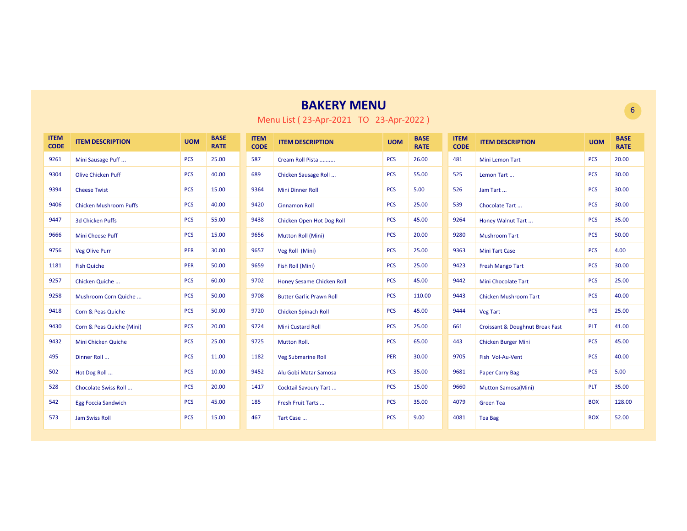| <b>ITEM</b><br><b>CODE</b> | <b>ITEM DESCRIPTION</b>       | <b>UOM</b> | <b>BASE</b><br><b>RATE</b> | <b>ITEM</b><br><b>CODE</b> | <b>ITEM DESCRIPTION</b>         | <b>UOM</b> | <b>BASE</b><br><b>RATE</b> | <b>ITEM</b><br><b>CODE</b> | <b>ITEM DESCRIPTION</b>         | <b>UOM</b> | <b>BASE</b><br><b>RATE</b> |
|----------------------------|-------------------------------|------------|----------------------------|----------------------------|---------------------------------|------------|----------------------------|----------------------------|---------------------------------|------------|----------------------------|
| 9261                       | Mini Sausage Puff             | <b>PCS</b> | 25.00                      | 587                        | Cream Roll Pista                | <b>PCS</b> | 26.00                      | 481                        | <b>Mini Lemon Tart</b>          | <b>PCS</b> | 20.00                      |
| 9304                       | <b>Olive Chicken Puff</b>     | <b>PCS</b> | 40.00                      | 689                        | Chicken Sausage Roll            | <b>PCS</b> | 55.00                      | 525                        | Lemon Tart                      | <b>PCS</b> | 30.00                      |
| 9394                       | <b>Cheese Twist</b>           | <b>PCS</b> | 15.00                      | 9364                       | <b>Mini Dinner Roll</b>         | <b>PCS</b> | 5.00                       | 526                        | Jam Tart                        | <b>PCS</b> | 30.00                      |
| 9406                       | <b>Chicken Mushroom Puffs</b> | <b>PCS</b> | 40.00                      | 9420                       | <b>Cinnamon Roll</b>            | <b>PCS</b> | 25.00                      | 539                        | Chocolate Tart                  | <b>PCS</b> | 30.00                      |
| 9447                       | 3d Chicken Puffs              | <b>PCS</b> | 55.00                      | 9438                       | Chicken Open Hot Dog Roll       | <b>PCS</b> | 45.00                      | 9264                       | Honey Walnut Tart               | <b>PCS</b> | 35.00                      |
| 9666                       | <b>Mini Cheese Puff</b>       | <b>PCS</b> | 15.00                      | 9656                       | Mutton Roll (Mini)              | <b>PCS</b> | 20.00                      | 9280                       | <b>Mushroom Tart</b>            | <b>PCS</b> | 50.00                      |
| 9756                       | <b>Veg Olive Purr</b>         | <b>PER</b> | 30.00                      | 9657                       | Veg Roll (Mini)                 | <b>PCS</b> | 25.00                      | 9363                       | <b>Mini Tart Case</b>           | <b>PCS</b> | 4.00                       |
| 1181                       | <b>Fish Quiche</b>            | PER        | 50.00                      | 9659                       | Fish Roll (Mini)                | <b>PCS</b> | 25.00                      | 9423                       | <b>Fresh Mango Tart</b>         | <b>PCS</b> | 30.00                      |
| 9257                       | Chicken Quiche                | <b>PCS</b> | 60.00                      | 9702                       | Honey Sesame Chicken Roll       | <b>PCS</b> | 45.00                      | 9442                       | <b>Mini Chocolate Tart</b>      | <b>PCS</b> | 25.00                      |
| 9258                       | Mushroom Corn Quiche          | <b>PCS</b> | 50.00                      | 9708                       | <b>Butter Garlic Prawn Roll</b> | <b>PCS</b> | 110.00                     | 9443                       | <b>Chicken Mushroom Tart</b>    | <b>PCS</b> | 40.00                      |
| 9418                       | Corn & Peas Quiche            | <b>PCS</b> | 50.00                      | 9720                       | <b>Chicken Spinach Roll</b>     | <b>PCS</b> | 45.00                      | 9444                       | <b>Veg Tart</b>                 | <b>PCS</b> | 25.00                      |
| 9430                       | Corn & Peas Quiche (Mini)     | <b>PCS</b> | 20.00                      | 9724                       | <b>Mini Custard Roll</b>        | <b>PCS</b> | 25.00                      | 661                        | Croissant & Doughnut Break Fast | PLT        | 41.00                      |
| 9432                       | Mini Chicken Quiche           | <b>PCS</b> | 25.00                      | 9725                       | <b>Mutton Roll.</b>             | <b>PCS</b> | 65.00                      | 443                        | <b>Chicken Burger Mini</b>      | <b>PCS</b> | 45.00                      |
| 495                        | Dinner Roll                   | <b>PCS</b> | 11.00                      | 1182                       | <b>Veg Submarine Roll</b>       | PER        | 30.00                      | 9705                       | Fish Vol-Au-Vent                | <b>PCS</b> | 40.00                      |
| 502                        | Hot Dog Roll                  | <b>PCS</b> | 10.00                      | 9452                       | Alu Gobi Matar Samosa           | <b>PCS</b> | 35.00                      | 9681                       | Paper Carry Bag                 | <b>PCS</b> | 5.00                       |
| 528                        | Chocolate Swiss Roll          | <b>PCS</b> | 20.00                      | 1417                       | Cocktail Savoury Tart           | <b>PCS</b> | 15.00                      | 9660                       | <b>Mutton Samosa(Mini)</b>      | <b>PLT</b> | 35.00                      |
| 542                        | <b>Egg Foccia Sandwich</b>    | <b>PCS</b> | 45.00                      | 185                        | Fresh Fruit Tarts               | <b>PCS</b> | 35.00                      | 4079                       | <b>Green Tea</b>                | <b>BOX</b> | 128.00                     |
| 573                        | <b>Jam Swiss Roll</b>         | <b>PCS</b> | 15.00                      | 467                        | Tart Case                       | <b>PCS</b> | 9.00                       | 4081                       | <b>Tea Bag</b>                  | <b>BOX</b> | 52.00                      |

Menu List ( 23-Apr-2021 TO 23-Apr-2022 )